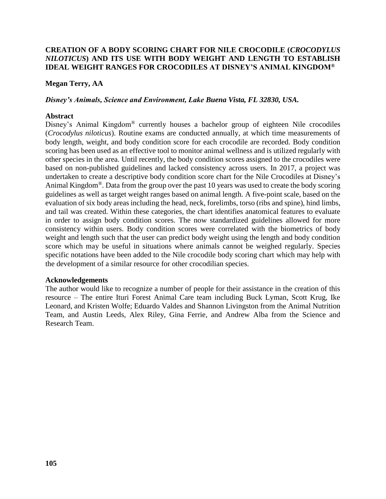## **CREATION OF A BODY SCORING CHART FOR NILE CROCODILE (***CROCODYLUS NILOTICUS***) AND ITS USE WITH BODY WEIGHT AND LENGTH TO ESTABLISH IDEAL WEIGHT RANGES FOR CROCODILES AT DISNEY'S ANIMAL KINGDOM®**

#### **Megan Terry, AA**

#### *Disney's Animals, Science and Environment, Lake Buena Vista, FL 32830, USA.*

#### **Abstract**

Disney's Animal Kingdom® currently houses a bachelor group of eighteen Nile crocodiles (*Crocodylus niloticus*). Routine exams are conducted annually, at which time measurements of body length, weight, and body condition score for each crocodile are recorded. Body condition scoring has been used as an effective tool to monitor animal wellness and is utilized regularly with other species in the area. Until recently, the body condition scores assigned to the crocodiles were based on non-published guidelines and lacked consistency across users. In 2017, a project was undertaken to create a descriptive body condition score chart for the Nile Crocodiles at Disney's Animal Kingdom®. Data from the group over the past 10 years was used to create the body scoring guidelines as well as target weight ranges based on animal length. A five-point scale, based on the evaluation of six body areas including the head, neck, forelimbs, torso (ribs and spine), hind limbs, and tail was created. Within these categories, the chart identifies anatomical features to evaluate in order to assign body condition scores. The now standardized guidelines allowed for more consistency within users. Body condition scores were correlated with the biometrics of body weight and length such that the user can predict body weight using the length and body condition score which may be useful in situations where animals cannot be weighed regularly. Species specific notations have been added to the Nile crocodile body scoring chart which may help with the development of a similar resource for other crocodilian species.

### **Acknowledgements**

The author would like to recognize a number of people for their assistance in the creation of this resource – The entire Ituri Forest Animal Care team including Buck Lyman, Scott Krug, Ike Leonard, and Kristen Wolfe; Eduardo Valdes and Shannon Livingston from the Animal Nutrition Team, and Austin Leeds, Alex Riley, Gina Ferrie, and Andrew Alba from the Science and Research Team.